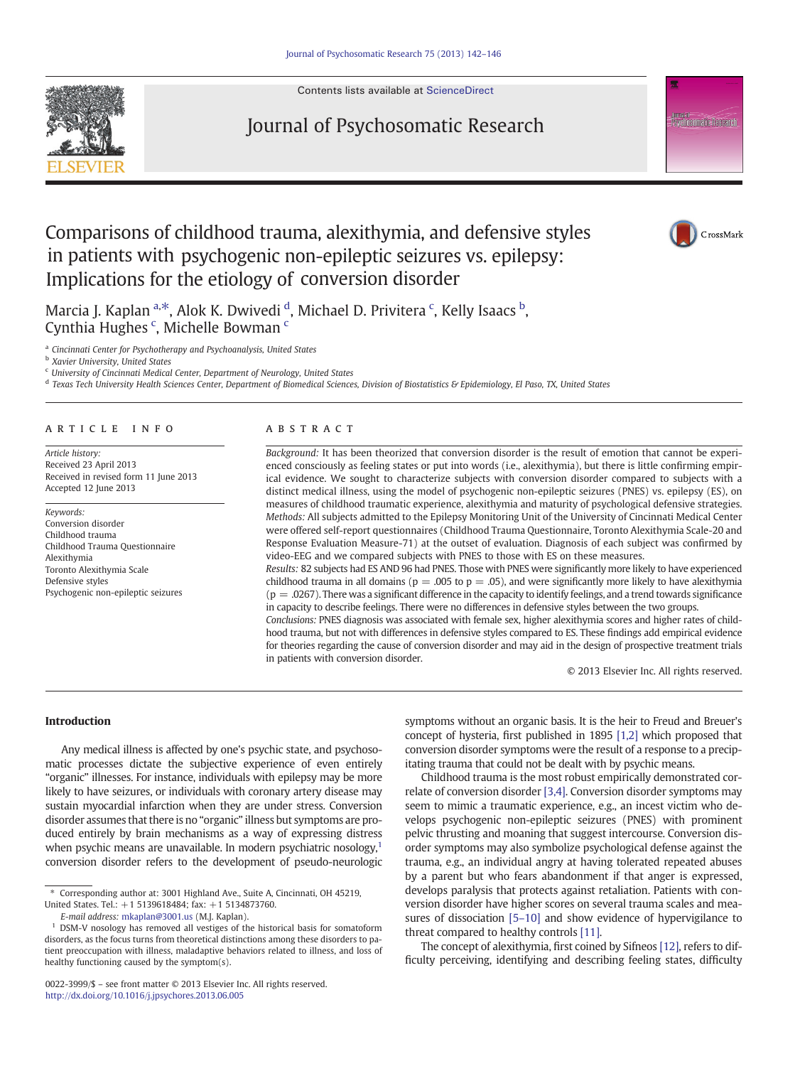Contents lists available at [ScienceDirect](http://www.sciencedirect.com/science/journal/)





## Comparisons of childhood trauma, alexithymia, and defensive styles in patients with psychogenic non-epileptic seizures vs. epilepsy: Implications for the etiology of conversion disorder



Marcia J. Kaplan <sup>a,\*</sup>, Alok K. Dwivedi <sup>d</sup>, Michael D. Privitera <sup>c</sup>, Kelly Isaacs <sup>b</sup>, Cynthia Hughes<sup>c</sup>, Michelle Bowman<sup>c</sup>

a Cincinnati Center for Psychotherapy and Psychoanalysis, United States

**b** Xavier University, United States

 $c$  University of Cincinnati Medical Center, Department of Neurology, United States

<sup>d</sup> Texas Tech University Health Sciences Center, Department of Biomedical Sciences, Division of Biostatistics & Epidemiology, El Paso, TX, United States

#### article info abstract

Article history: Received 23 April 2013 Received in revised form 11 June 2013 Accepted 12 June 2013

Keywords: Conversion disorder Childhood trauma Childhood Trauma Questionnaire Alexithymia Toronto Alexithymia Scale Defensive styles Psychogenic non-epileptic seizures

Background: It has been theorized that conversion disorder is the result of emotion that cannot be experienced consciously as feeling states or put into words (i.e., alexithymia), but there is little confirming empirical evidence. We sought to characterize subjects with conversion disorder compared to subjects with a distinct medical illness, using the model of psychogenic non-epileptic seizures (PNES) vs. epilepsy (ES), on measures of childhood traumatic experience, alexithymia and maturity of psychological defensive strategies. Methods: All subjects admitted to the Epilepsy Monitoring Unit of the University of Cincinnati Medical Center were offered self-report questionnaires (Childhood Trauma Questionnaire, Toronto Alexithymia Scale-20 and Response Evaluation Measure-71) at the outset of evaluation. Diagnosis of each subject was confirmed by video-EEG and we compared subjects with PNES to those with ES on these measures.

Results: 82 subjects had ES AND 96 had PNES. Those with PNES were significantly more likely to have experienced childhood trauma in all domains ( $p = .005$  to  $p = .05$ ), and were significantly more likely to have alexithymia  $(p = .0267)$ . There was a significant difference in the capacity to identify feelings, and a trend towards significance in capacity to describe feelings. There were no differences in defensive styles between the two groups.

Conclusions: PNES diagnosis was associated with female sex, higher alexithymia scores and higher rates of childhood trauma, but not with differences in defensive styles compared to ES. These findings add empirical evidence for theories regarding the cause of conversion disorder and may aid in the design of prospective treatment trials in patients with conversion disorder.

© 2013 Elsevier Inc. All rights reserved.

#### Introduction

Any medical illness is affected by one's psychic state, and psychosomatic processes dictate the subjective experience of even entirely "organic" illnesses. For instance, individuals with epilepsy may be more likely to have seizures, or individuals with coronary artery disease may sustain myocardial infarction when they are under stress. Conversion disorder assumes that there is no "organic" illness but symptoms are produced entirely by brain mechanisms as a way of expressing distress when psychic means are unavailable. In modern psychiatric nosology, $1$ conversion disorder refers to the development of pseudo-neurologic

E-mail address: [mkaplan@3001.us](mailto:mkaplan@3001.us) (M.J. Kaplan).

symptoms without an organic basis. It is the heir to Freud and Breuer's concept of hysteria, first published in 1895 [\[1,2\]](#page--1-0) which proposed that conversion disorder symptoms were the result of a response to a precipitating trauma that could not be dealt with by psychic means.

Childhood trauma is the most robust empirically demonstrated correlate of conversion disorder [\[3,4\]](#page--1-0). Conversion disorder symptoms may seem to mimic a traumatic experience, e.g., an incest victim who develops psychogenic non-epileptic seizures (PNES) with prominent pelvic thrusting and moaning that suggest intercourse. Conversion disorder symptoms may also symbolize psychological defense against the trauma, e.g., an individual angry at having tolerated repeated abuses by a parent but who fears abandonment if that anger is expressed, develops paralysis that protects against retaliation. Patients with conversion disorder have higher scores on several trauma scales and measures of dissociation [5–[10\]](#page--1-0) and show evidence of hypervigilance to threat compared to healthy controls [\[11\].](#page--1-0)

The concept of alexithymia, first coined by Sifneos [\[12\],](#page--1-0) refers to difficulty perceiving, identifying and describing feeling states, difficulty

<sup>⁎</sup> Corresponding author at: 3001 Highland Ave., Suite A, Cincinnati, OH 45219, United States. Tel.: +1 5139618484; fax: +1 5134873760.

<sup>&</sup>lt;sup>1</sup> DSM-V nosology has removed all vestiges of the historical basis for somatoform disorders, as the focus turns from theoretical distinctions among these disorders to patient preoccupation with illness, maladaptive behaviors related to illness, and loss of healthy functioning caused by the symptom(s).

<sup>0022-3999/\$</sup> – see front matter © 2013 Elsevier Inc. All rights reserved. <http://dx.doi.org/10.1016/j.jpsychores.2013.06.005>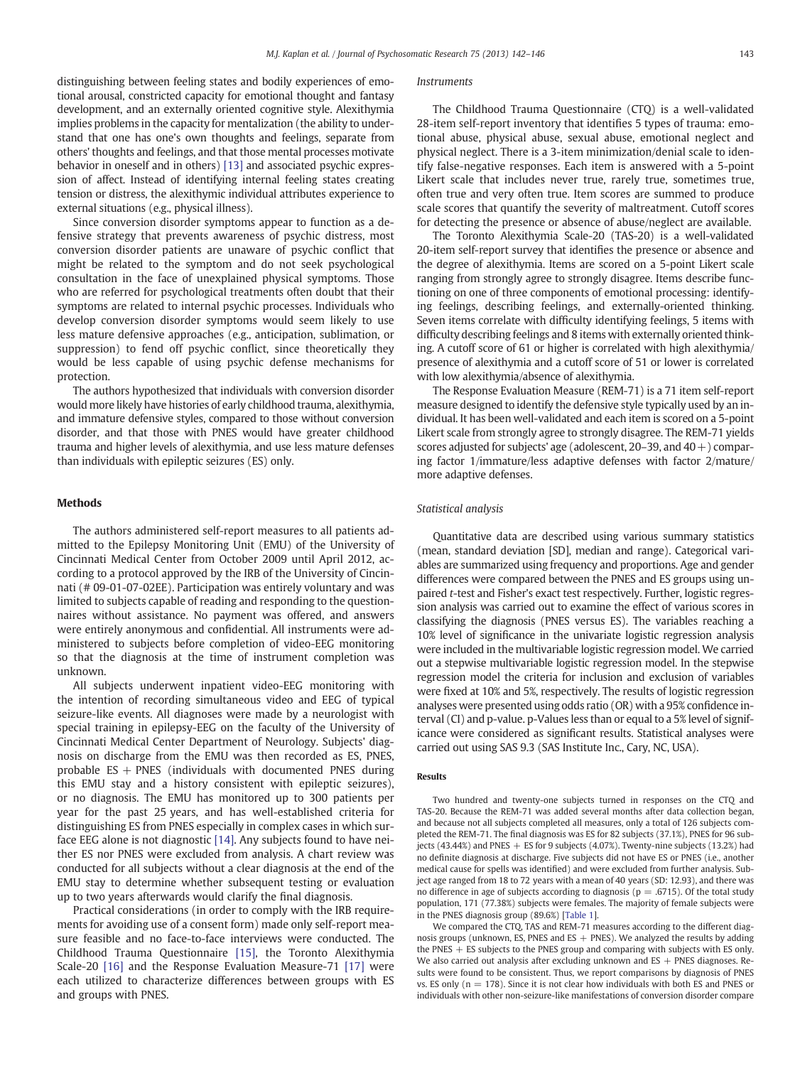distinguishing between feeling states and bodily experiences of emotional arousal, constricted capacity for emotional thought and fantasy development, and an externally oriented cognitive style. Alexithymia implies problems in the capacity for mentalization (the ability to understand that one has one's own thoughts and feelings, separate from others' thoughts and feelings, and that those mental processes motivate behavior in oneself and in others) [\[13\]](#page--1-0) and associated psychic expression of affect. Instead of identifying internal feeling states creating tension or distress, the alexithymic individual attributes experience to external situations (e.g., physical illness).

Since conversion disorder symptoms appear to function as a defensive strategy that prevents awareness of psychic distress, most conversion disorder patients are unaware of psychic conflict that might be related to the symptom and do not seek psychological consultation in the face of unexplained physical symptoms. Those who are referred for psychological treatments often doubt that their symptoms are related to internal psychic processes. Individuals who develop conversion disorder symptoms would seem likely to use less mature defensive approaches (e.g., anticipation, sublimation, or suppression) to fend off psychic conflict, since theoretically they would be less capable of using psychic defense mechanisms for protection.

The authors hypothesized that individuals with conversion disorder would more likely have histories of early childhood trauma, alexithymia, and immature defensive styles, compared to those without conversion disorder, and that those with PNES would have greater childhood trauma and higher levels of alexithymia, and use less mature defenses than individuals with epileptic seizures (ES) only.

#### Methods

The authors administered self-report measures to all patients admitted to the Epilepsy Monitoring Unit (EMU) of the University of Cincinnati Medical Center from October 2009 until April 2012, according to a protocol approved by the IRB of the University of Cincinnati (# 09-01-07-02EE). Participation was entirely voluntary and was limited to subjects capable of reading and responding to the questionnaires without assistance. No payment was offered, and answers were entirely anonymous and confidential. All instruments were administered to subjects before completion of video-EEG monitoring so that the diagnosis at the time of instrument completion was unknown.

All subjects underwent inpatient video-EEG monitoring with the intention of recording simultaneous video and EEG of typical seizure-like events. All diagnoses were made by a neurologist with special training in epilepsy-EEG on the faculty of the University of Cincinnati Medical Center Department of Neurology. Subjects' diagnosis on discharge from the EMU was then recorded as ES, PNES, probable  $ES + PNES$  (individuals with documented PNES during this EMU stay and a history consistent with epileptic seizures), or no diagnosis. The EMU has monitored up to 300 patients per year for the past 25 years, and has well-established criteria for distinguishing ES from PNES especially in complex cases in which surface EEG alone is not diagnostic [\[14\]](#page--1-0). Any subjects found to have neither ES nor PNES were excluded from analysis. A chart review was conducted for all subjects without a clear diagnosis at the end of the EMU stay to determine whether subsequent testing or evaluation up to two years afterwards would clarify the final diagnosis.

Practical considerations (in order to comply with the IRB requirements for avoiding use of a consent form) made only self-report measure feasible and no face-to-face interviews were conducted. The Childhood Trauma Questionnaire [\[15\]](#page--1-0), the Toronto Alexithymia Scale-20 [\[16\]](#page--1-0) and the Response Evaluation Measure-71 [\[17\]](#page--1-0) were each utilized to characterize differences between groups with ES and groups with PNES.

## Instruments

The Childhood Trauma Questionnaire (CTQ) is a well-validated 28-item self-report inventory that identifies 5 types of trauma: emotional abuse, physical abuse, sexual abuse, emotional neglect and physical neglect. There is a 3-item minimization/denial scale to identify false-negative responses. Each item is answered with a 5-point Likert scale that includes never true, rarely true, sometimes true, often true and very often true. Item scores are summed to produce scale scores that quantify the severity of maltreatment. Cutoff scores for detecting the presence or absence of abuse/neglect are available.

The Toronto Alexithymia Scale-20 (TAS-20) is a well-validated 20-item self-report survey that identifies the presence or absence and the degree of alexithymia. Items are scored on a 5-point Likert scale ranging from strongly agree to strongly disagree. Items describe functioning on one of three components of emotional processing: identifying feelings, describing feelings, and externally-oriented thinking. Seven items correlate with difficulty identifying feelings, 5 items with difficulty describing feelings and 8 items with externally oriented thinking. A cutoff score of 61 or higher is correlated with high alexithymia/ presence of alexithymia and a cutoff score of 51 or lower is correlated with low alexithymia/absence of alexithymia.

The Response Evaluation Measure (REM-71) is a 71 item self-report measure designed to identify the defensive style typically used by an individual. It has been well-validated and each item is scored on a 5-point Likert scale from strongly agree to strongly disagree. The REM-71 yields scores adjusted for subjects' age (adolescent, 20–39, and 40+) comparing factor 1/immature/less adaptive defenses with factor 2/mature/ more adaptive defenses.

#### Statistical analysis

Quantitative data are described using various summary statistics (mean, standard deviation [SD], median and range). Categorical variables are summarized using frequency and proportions. Age and gender differences were compared between the PNES and ES groups using unpaired t-test and Fisher's exact test respectively. Further, logistic regression analysis was carried out to examine the effect of various scores in classifying the diagnosis (PNES versus ES). The variables reaching a 10% level of significance in the univariate logistic regression analysis were included in the multivariable logistic regression model. We carried out a stepwise multivariable logistic regression model. In the stepwise regression model the criteria for inclusion and exclusion of variables were fixed at 10% and 5%, respectively. The results of logistic regression analyses were presented using odds ratio (OR) with a 95% confidence interval (CI) and p-value. p-Values less than or equal to a 5% level of significance were considered as significant results. Statistical analyses were carried out using SAS 9.3 (SAS Institute Inc., Cary, NC, USA).

## Results

Two hundred and twenty-one subjects turned in responses on the CTQ and TAS-20. Because the REM-71 was added several months after data collection began, and because not all subjects completed all measures, only a total of 126 subjects completed the REM-71. The final diagnosis was ES for 82 subjects (37.1%), PNES for 96 subjects (43.44%) and PNES  $+$  ES for 9 subjects (4.07%). Twenty-nine subjects (13.2%) had no definite diagnosis at discharge. Five subjects did not have ES or PNES (i.e., another medical cause for spells was identified) and were excluded from further analysis. Subject age ranged from 18 to 72 years with a mean of 40 years (SD: 12.93), and there was no difference in age of subjects according to diagnosis ( $p = .6715$ ). Of the total study population, 171 (77.38%) subjects were females. The majority of female subjects were in the PNES diagnosis group (89.6%) [\[Table 1](#page--1-0)].

We compared the CTQ, TAS and REM-71 measures according to the different diagnosis groups (unknown, ES, PNES and ES  $+$  PNES). We analyzed the results by adding the PNES  $+$  ES subjects to the PNES group and comparing with subjects with ES only. We also carried out analysis after excluding unknown and  $ES + PNES$  diagnoses. Results were found to be consistent. Thus, we report comparisons by diagnosis of PNES vs. ES only ( $n = 178$ ). Since it is not clear how individuals with both ES and PNES or individuals with other non-seizure-like manifestations of conversion disorder compare